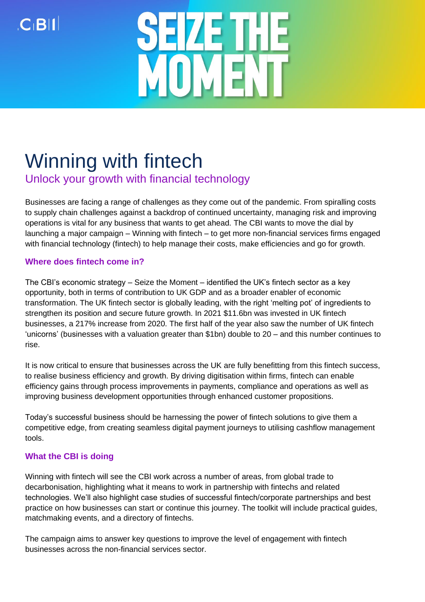$C$ <sub>BII</sub>



# Winning with fintech

Unlock your growth with financial technology

Businesses are facing a range of challenges as they come out of the pandemic. From spiralling costs to supply chain challenges against a backdrop of continued uncertainty, managing risk and improving operations is vital for any business that wants to get ahead. The CBI wants to move the dial by launching a major campaign – Winning with fintech – to get more non-financial services firms engaged with financial technology (fintech) to help manage their costs, make efficiencies and go for growth.

## **Where does fintech come in?**

The CBI's economic strategy – Seize the Moment – identified the UK's fintech sector as a key opportunity, both in terms of contribution to UK GDP and as a broader enabler of economic transformation. The UK fintech sector is globally leading, with the right 'melting pot' of ingredients to strengthen its position and secure future growth. In 2021 \$11.6bn was invested in UK fintech businesses, a 217% increase from 2020. The first half of the year also saw the number of UK fintech 'unicorns' (businesses with a valuation greater than \$1bn) double to 20 – and this number continues to rise.

It is now critical to ensure that businesses across the UK are fully benefitting from this fintech success, to realise business efficiency and growth. By driving digitisation within firms, fintech can enable efficiency gains through process improvements in payments, compliance and operations as well as improving business development opportunities through enhanced customer propositions.

Today's successful business should be harnessing the power of fintech solutions to give them a competitive edge, from creating seamless digital payment journeys to utilising cashflow management tools.

## **What the CBI is doing**

Winning with fintech will see the CBI work across a number of areas, from global trade to decarbonisation, highlighting what it means to work in partnership with fintechs and related technologies. We'll also highlight case studies of successful fintech/corporate partnerships and best practice on how businesses can start or continue this journey. The toolkit will include practical guides, matchmaking events, and a directory of fintechs.

The campaign aims to answer key questions to improve the level of engagement with fintech businesses across the non-financial services sector.